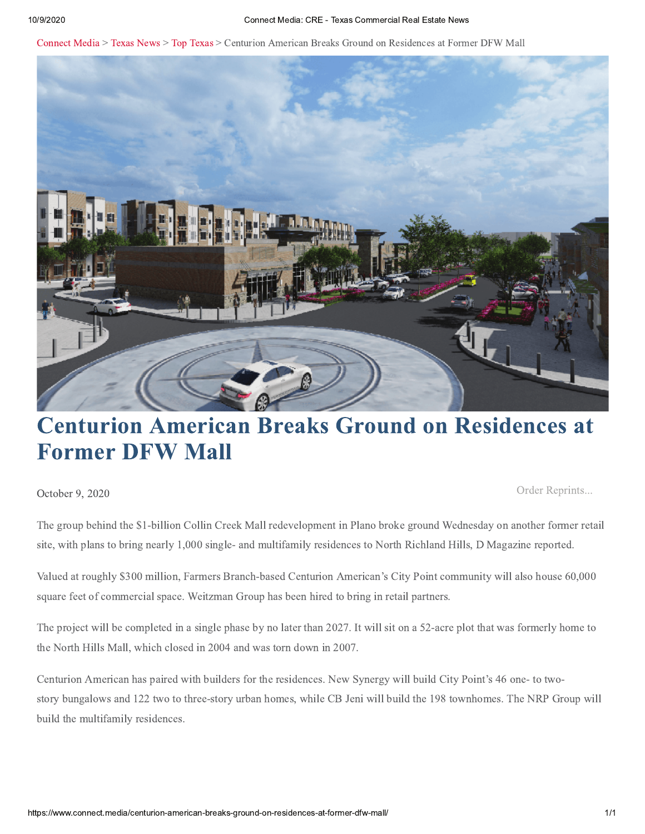Connect Media > Texas News > Top Texas > Centurion American Breaks Ground on Residences at Former DFW Mall



# **Centurion American Breaks Ground on Residences at Former DFW Mall**

October 9, 2020

Order Reprints...

The group behind the \$1-billion Collin Creek Mall redevelopment in Plano broke ground Wednesday on another former retail site, with plans to bring nearly 1,000 single- and multifamily residences to North Richland Hills, D Magazine reported.

Valued at roughly \$300 million, Farmers Branch-based Centurion American's City Point community will also house 60,000 square feet of commercial space. Weitzman Group has been hired to bring in retail partners.

The project will be completed in a single phase by no later than 2027. It will sit on a 52-acre plot that was formerly home to the North Hills Mall, which closed in 2004 and was torn down in 2007.

Centurion American has paired with builders for the residences. New Synergy will build City Point's 46 one- to twostory bungalows and 122 two to three-story urban homes, while CB Jeni will build the 198 townhomes. The NRP Group will build the multifamily residences.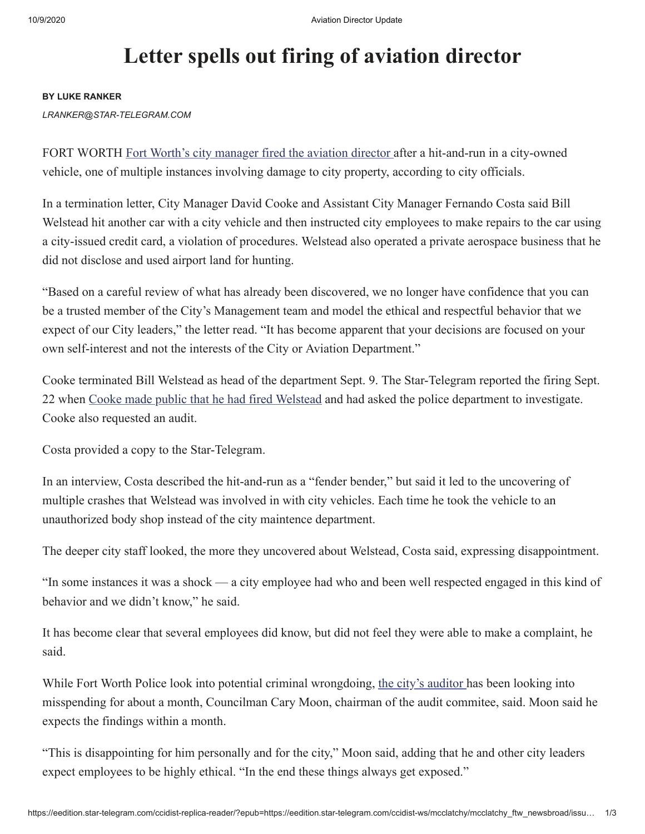## **Letter spells out firing of aviation director**

#### **BY LUKE RANKER**

*LRANKER@STAR-TELEGRAM.COM*

FORT WORTH Fort Worth's city manager fired the aviation director after a hit-and-run in a city-owned vehicle, one of multiple instances involving damage to city property, according to city officials.

In a termination letter, City Manager David Cooke and Assistant City Manager Fernando Costa said Bill Welstead hit another car with a city vehicle and then instructed city employees to make repairs to the car using a city-issued credit card, a violation of procedures. Welstead also operated a private aerospace business that he did not disclose and used airport land for hunting.

"Based on a careful review of what has already been discovered, we no longer have confidence that you can be a trusted member of the City's Management team and model the ethical and respectful behavior that we expect of our City leaders," the letter read. "It has become apparent that your decisions are focused on your own self-interest and not the interests of the City or Aviation Department."

Cooke terminated Bill Welstead as head of the department Sept. 9. The Star-Telegram reported the firing Sept. 22 when Cooke made public that he had fired Welstead and had asked the police department to investigate. Cooke also requested an audit.

Costa provided a copy to the Star-Telegram.

In an interview, Costa described the hit-and-run as a "fender bender," but said it led to the uncovering of multiple crashes that Welstead was involved in with city vehicles. Each time he took the vehicle to an unauthorized body shop instead of the city maintence department.

The deeper city staff looked, the more they uncovered about Welstead, Costa said, expressing disappointment.

"In some instances it was a shock — a city employee had who and been well respected engaged in this kind of behavior and we didn't know," he said.

It has become clear that several employees did know, but did not feel they were able to make a complaint, he said.

While Fort Worth Police look into potential criminal wrongdoing, the city's auditor has been looking into misspending for about a month, Councilman Cary Moon, chairman of the audit commitee, said. Moon said he expects the findings within a month.

"This is disappointing for him personally and for the city," Moon said, adding that he and other city leaders expect employees to be highly ethical. "In the end these things always get exposed."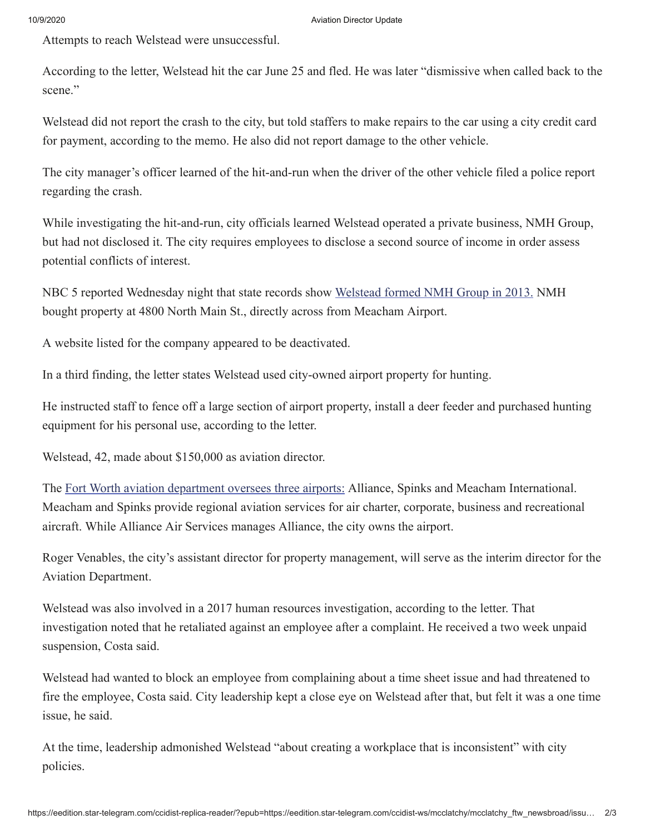Attempts to reach Welstead were unsuccessful.

According to the letter, Welstead hit the car June 25 and fled. He was later "dismissive when called back to the scene."

Welstead did not report the crash to the city, but told staffers to make repairs to the car using a city credit card for payment, according to the memo. He also did not report damage to the other vehicle.

The city manager's officer learned of the hit-and-run when the driver of the other vehicle filed a police report regarding the crash.

While investigating the hit-and-run, city officials learned Welstead operated a private business, NMH Group, but had not disclosed it. The city requires employees to disclose a second source of income in order assess potential conflicts of interest.

NBC 5 reported Wednesday night that state records show Welstead formed NMH Group in 2013. NMH bought property at 4800 North Main St., directly across from Meacham Airport.

A website listed for the company appeared to be deactivated.

In a third finding, the letter states Welstead used city-owned airport property for hunting.

He instructed staff to fence off a large section of airport property, install a deer feeder and purchased hunting equipment for his personal use, according to the letter.

Welstead, 42, made about \$150,000 as aviation director.

The Fort Worth aviation department oversees three airports: Alliance, Spinks and Meacham International. Meacham and Spinks provide regional aviation services for air charter, corporate, business and recreational aircraft. While Alliance Air Services manages Alliance, the city owns the airport.

Roger Venables, the city's assistant director for property management, will serve as the interim director for the Aviation Department.

Welstead was also involved in a 2017 human resources investigation, according to the letter. That investigation noted that he retaliated against an employee after a complaint. He received a two week unpaid suspension, Costa said.

Welstead had wanted to block an employee from complaining about a time sheet issue and had threatened to fire the employee, Costa said. City leadership kept a close eye on Welstead after that, but felt it was a one time issue, he said.

At the time, leadership admonished Welstead "about creating a workplace that is inconsistent" with city policies.